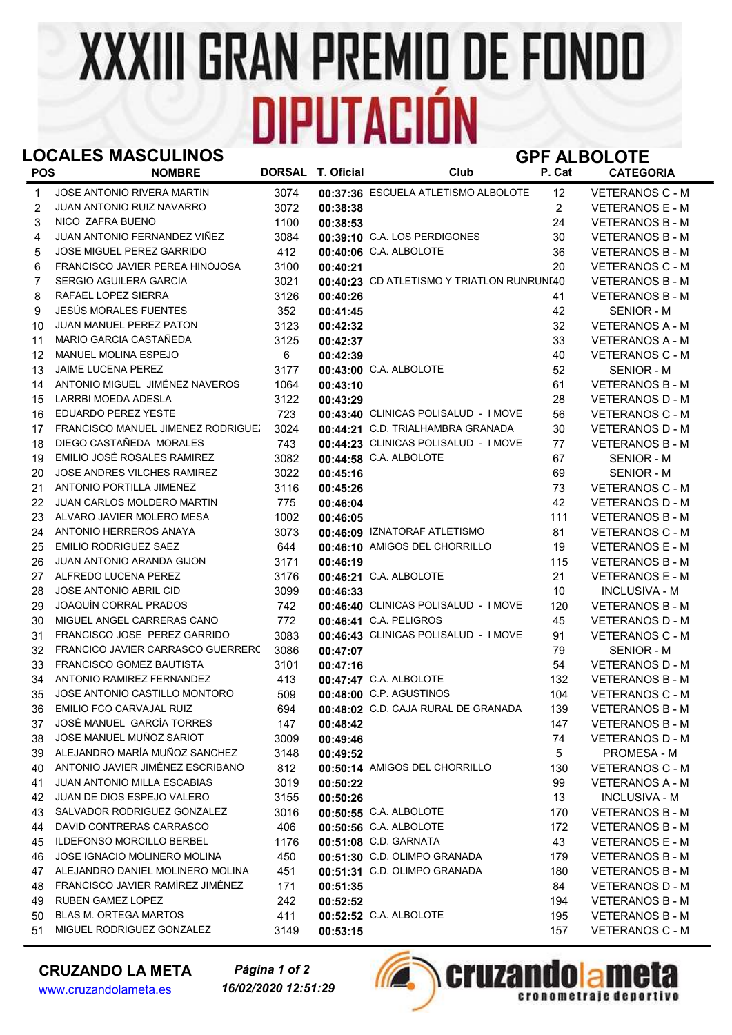## **XXXIII GRAN PREMIO DE FONDO DIPUTACIÓN**

## LOCALES MASCULINOS GPF ALBOLOTE

| <b>POS</b>   | <b>NOMBRE</b>                             |      | DORSAL T. Oficial | Club                                       | P. Cat         | <b>CATEGORIA</b>       |
|--------------|-------------------------------------------|------|-------------------|--------------------------------------------|----------------|------------------------|
| $\mathbf{1}$ | JOSE ANTONIO RIVERA MARTIN                | 3074 |                   | 00:37:36 ESCUELA ATLETISMO ALBOLOTE        | 12             | VETERANOS C - M        |
| 2            | JUAN ANTONIO RUIZ NAVARRO                 | 3072 | 00:38:38          |                                            | 2              | <b>VETERANOS E - M</b> |
| 3            | NICO ZAFRA BUENO                          | 1100 | 00:38:53          |                                            | 24             | <b>VETERANOS B - M</b> |
| 4            | JUAN ANTONIO FERNANDEZ VIÑEZ              | 3084 |                   | 00:39:10 C.A. LOS PERDIGONES               | 30             | <b>VETERANOS B - M</b> |
| 5            | JOSE MIGUEL PEREZ GARRIDO                 | 412  |                   | 00:40:06 C.A. ALBOLOTE                     | 36             | <b>VETERANOS B - M</b> |
| 6            | FRANCISCO JAVIER PEREA HINOJOSA           | 3100 | 00:40:21          |                                            | 20             | <b>VETERANOS C - M</b> |
| 7            | SERGIO AGUILERA GARCIA                    | 3021 |                   | 00:40:23 CD ATLETISMO Y TRIATLON RUNRUNI40 |                | <b>VETERANOS B - M</b> |
| 8            | RAFAEL LOPEZ SIERRA                       | 3126 | 00:40:26          |                                            | 41             | <b>VETERANOS B - M</b> |
| 9            | JESÚS MORALES FUENTES                     | 352  | 00:41:45          |                                            | 42             | SENIOR - M             |
| 10           | JUAN MANUEL PEREZ PATON                   | 3123 | 00:42:32          |                                            | 32             | <b>VETERANOS A - M</b> |
| 11           | MARIO GARCIA CASTAÑEDA                    | 3125 | 00:42:37          |                                            | 33             | <b>VETERANOS A - M</b> |
| 12           | <b>MANUEL MOLINA ESPEJO</b>               | 6    | 00:42:39          |                                            | 40             | <b>VETERANOS C - M</b> |
| 13           | <b>JAIME LUCENA PEREZ</b>                 | 3177 |                   | 00:43:00 C.A. ALBOLOTE                     | 52             | SENIOR - M             |
| 14           | ANTONIO MIGUEL JIMÉNEZ NAVEROS            | 1064 | 00:43:10          |                                            | 61             | <b>VETERANOS B - M</b> |
| 15           | LARRBI MOEDA ADESLA                       | 3122 | 00:43:29          |                                            | 28             | <b>VETERANOS D - M</b> |
| 16           | <b>EDUARDO PEREZ YESTE</b>                | 723  |                   | 00:43:40 CLINICAS POLISALUD - I MOVE       | 56             | <b>VETERANOS C - M</b> |
| 17           | <b>FRANCISCO MANUEL JIMENEZ RODRIGUEZ</b> | 3024 |                   | 00:44:21 C.D. TRIALHAMBRA GRANADA          | 30             | <b>VETERANOS D - M</b> |
| 18           | DIEGO CASTAÑEDA MORALES                   | 743  |                   | 00:44:23 CLINICAS POLISALUD - I MOVE       | 77             | <b>VETERANOS B - M</b> |
| 19           | EMILIO JOSÉ ROSALES RAMIREZ               | 3082 |                   | 00:44:58 C.A. ALBOLOTE                     | 67             | SENIOR - M             |
| 20           | <b>JOSE ANDRES VILCHES RAMIREZ</b>        | 3022 | 00:45:16          |                                            | 69             | SENIOR - M             |
| 21           | ANTONIO PORTILLA JIMENEZ                  | 3116 | 00:45:26          |                                            | 73             | <b>VETERANOS C - M</b> |
| 22           | JUAN CARLOS MOLDERO MARTIN                | 775  | 00:46:04          |                                            | 42             | <b>VETERANOS D - M</b> |
| 23           | ALVARO JAVIER MOLERO MESA                 | 1002 | 00:46:05          |                                            | 111            | <b>VETERANOS B - M</b> |
| 24           | ANTONIO HERREROS ANAYA                    | 3073 |                   | 00:46:09 IZNATORAF ATLETISMO               | 81             | <b>VETERANOS C - M</b> |
| 25           | <b>EMILIO RODRIGUEZ SAEZ</b>              | 644  |                   | 00:46:10 AMIGOS DEL CHORRILLO              | 19             | <b>VETERANOS E - M</b> |
| 26           | <b>JUAN ANTONIO ARANDA GIJON</b>          | 3171 | 00:46:19          |                                            | 115            | <b>VETERANOS B - M</b> |
| 27           | ALFREDO LUCENA PEREZ                      | 3176 |                   | 00:46:21 C.A. ALBOLOTE                     | 21             | <b>VETERANOS E - M</b> |
| 28           | <b>JOSE ANTONIO ABRIL CID</b>             | 3099 | 00:46:33          |                                            | 10             | <b>INCLUSIVA - M</b>   |
| 29           | JOAQUÍN CORRAL PRADOS                     | 742  |                   | 00:46:40 CLINICAS POLISALUD - I MOVE       | 120            | <b>VETERANOS B - M</b> |
| 30           | MIGUEL ANGEL CARRERAS CANO                | 772  |                   | 00:46:41 C.A. PELIGROS                     | 45             | VETERANOS D - M        |
| 31           | FRANCISCO JOSE PEREZ GARRIDO              | 3083 |                   | 00:46:43 CLINICAS POLISALUD - I MOVE       | 91             | <b>VETERANOS C - M</b> |
| 32           | FRANCICO JAVIER CARRASCO GUERRERC         | 3086 | 00:47:07          |                                            | 79             | SENIOR - M             |
| 33           | FRANCISCO GOMEZ BAUTISTA                  | 3101 | 00:47:16          |                                            | 54             | <b>VETERANOS D - M</b> |
| 34           | ANTONIO RAMIREZ FERNANDEZ                 | 413  |                   | 00:47:47 C.A. ALBOLOTE                     | 132            | <b>VETERANOS B - M</b> |
| 35           | JOSE ANTONIO CASTILLO MONTORO             | 509  |                   | 00:48:00 C.P. AGUSTINOS                    | 104            | <b>VETERANOS C - M</b> |
| 36           | <b>EMILIO FCO CARVAJAL RUIZ</b>           | 694  |                   | 00:48:02 C.D. CAJA RURAL DE GRANADA        | 139            | <b>VETERANOS B - M</b> |
| 37           | JOSÉ MANUEL GARCÍA TORRES                 | 147  | 00:48:42          |                                            | 147            | VETERANOS B - M        |
| 38           | JOSE MANUEL MUÑOZ SARIOT                  | 3009 | 00:49:46          |                                            | 74             | VETERANOS D - M        |
| 39           | ALEJANDRO MARÍA MUÑOZ SANCHEZ             | 3148 | 00:49:52          |                                            | $\overline{5}$ | PROMESA - M            |
| 40           | ANTONIO JAVIER JIMÉNEZ ESCRIBANO          | 812  |                   | 00:50:14 AMIGOS DEL CHORRILLO              | 130            | <b>VETERANOS C - M</b> |
| 41           | <b>JUAN ANTONIO MILLA ESCABIAS</b>        | 3019 | 00:50:22          |                                            | 99             | VETERANOS A - M        |
| 42           | JUAN DE DIOS ESPEJO VALERO                | 3155 | 00:50:26          |                                            | 13             | <b>INCLUSIVA - M</b>   |
| 43           | SALVADOR RODRIGUEZ GONZALEZ               | 3016 |                   | 00:50:55 C.A. ALBOLOTE                     | 170            | <b>VETERANOS B - M</b> |
| 44           | DAVID CONTRERAS CARRASCO                  | 406  |                   | 00:50:56 C.A. ALBOLOTE                     | 172            | <b>VETERANOS B - M</b> |
| 45           | <b>ILDEFONSO MORCILLO BERBEL</b>          | 1176 |                   | 00:51:08 C.D. GARNATA                      | 43             | VETERANOS E - M        |
| 46           | JOSE IGNACIO MOLINERO MOLINA              | 450  |                   | 00:51:30 C.D. OLIMPO GRANADA               | 179            | <b>VETERANOS B - M</b> |
| 47           | ALEJANDRO DANIEL MOLINERO MOLINA          | 451  |                   | 00:51:31 C.D. OLIMPO GRANADA               | 180            | <b>VETERANOS B - M</b> |
| 48           | FRANCISCO JAVIER RAMÍREZ JIMÉNEZ          | 171  | 00:51:35          |                                            | 84             | VETERANOS D - M        |
| 49           | <b>RUBEN GAMEZ LOPEZ</b>                  | 242  | 00:52:52          |                                            | 194            | <b>VETERANOS B - M</b> |
| 50           | BLAS M. ORTEGA MARTOS                     | 411  |                   | 00:52:52 C.A. ALBOLOTE                     | 195            | <b>VETERANOS B - M</b> |
| 51           | MIGUEL RODRIGUEZ GONZALEZ                 | 3149 | 00:53:15          |                                            | 157            | VETERANOS C - M        |

## CRUZANDO LA META

www.cruzandolameta.es

16/02/2020 12:51:29 Página 1 of 2